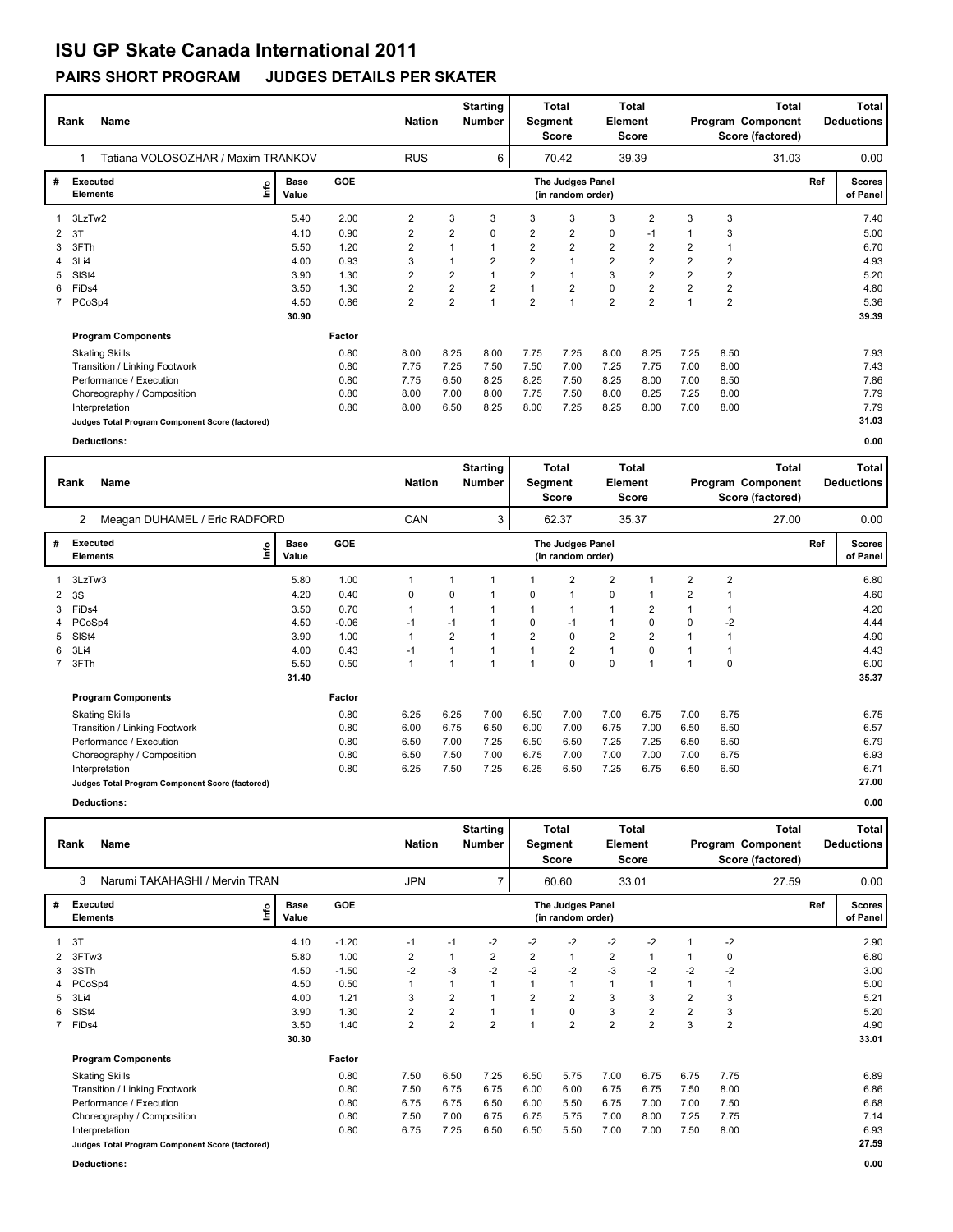# **ISU GP Skate Canada International 2011**

### **PAIRS SHORT PROGRAM JUDGES DETAILS PER SKATER**

|   | <b>Name</b><br>Rank                                                     | <b>Nation</b> |        | <b>Starting</b><br><b>Number</b> | <b>Total</b><br>Total<br>Element<br>Segment<br><b>Score</b><br><b>Score</b> |                |                |                | Total<br>Program Component<br>Score (factored) |                |                |                | <b>Total</b><br><b>Deductions</b> |  |       |
|---|-------------------------------------------------------------------------|---------------|--------|----------------------------------|-----------------------------------------------------------------------------|----------------|----------------|----------------|------------------------------------------------|----------------|----------------|----------------|-----------------------------------|--|-------|
|   | Tatiana VOLOSOZHAR / Maxim TRANKOV                                      |               |        | <b>RUS</b>                       |                                                                             | 6              |                | 70.42          |                                                | 39.39          |                |                | 31.03                             |  | 0.00  |
| # | <b>GOE</b><br>Executed<br><b>Base</b><br>١m<br><b>Elements</b><br>Value |               |        |                                  | The Judges Panel<br>(in random order)                                       |                |                |                |                                                |                |                |                |                                   |  |       |
|   | 1 3LzTw2                                                                | 5.40          | 2.00   | 2                                | 3                                                                           | 3              | 3              | 3              | 3                                              | $\overline{2}$ | 3              | 3              |                                   |  | 7.40  |
| 2 | 3T                                                                      | 4.10          | 0.90   | 2                                | $\overline{2}$                                                              | 0              | 2              | $\overline{2}$ | 0                                              | $-1$           |                | 3              |                                   |  | 5.00  |
| 3 | 3FTh                                                                    | 5.50          | 1.20   | $\overline{2}$                   | $\mathbf 1$                                                                 | 1              | $\overline{2}$ | $\overline{2}$ | $\overline{2}$                                 | $\overline{2}$ | $\overline{2}$ |                |                                   |  | 6.70  |
| 4 | 3Li4                                                                    | 4.00          | 0.93   | 3                                | $\overline{A}$                                                              | 2              | $\overline{2}$ | $\overline{1}$ | $\overline{2}$                                 | $\overline{2}$ | $\overline{2}$ | $\overline{2}$ |                                   |  | 4.93  |
| 5 | SISt4                                                                   | 3.90          | 1.30   | 2                                | 2                                                                           | 1              | 2              |                | 3                                              | $\overline{2}$ | $\overline{2}$ | $\overline{2}$ |                                   |  | 5.20  |
| 6 | FiDs4                                                                   | 3.50          | 1.30   | $\overline{2}$                   | $\overline{2}$                                                              | $\overline{2}$ |                | $\overline{2}$ | $\mathbf 0$                                    | $\overline{2}$ | $\overline{2}$ | $\overline{2}$ |                                   |  | 4.80  |
|   | 7 PCoSp4                                                                | 4.50          | 0.86   | $\overline{2}$                   | $\overline{2}$                                                              | 1              | $\overline{2}$ | $\overline{1}$ | $\overline{2}$                                 | $\overline{2}$ |                | $\overline{2}$ |                                   |  | 5.36  |
|   |                                                                         | 30.90         |        |                                  |                                                                             |                |                |                |                                                |                |                |                |                                   |  | 39.39 |
|   | <b>Program Components</b>                                               |               | Factor |                                  |                                                                             |                |                |                |                                                |                |                |                |                                   |  |       |
|   | <b>Skating Skills</b>                                                   |               | 0.80   | 8.00                             | 8.25                                                                        | 8.00           | 7.75           | 7.25           | 8.00                                           | 8.25           | 7.25           | 8.50           |                                   |  | 7.93  |
|   | Transition / Linking Footwork                                           |               | 0.80   | 7.75                             | 7.25                                                                        | 7.50           | 7.50           | 7.00           | 7.25                                           | 7.75           | 7.00           | 8.00           |                                   |  | 7.43  |
|   | Performance / Execution                                                 |               | 0.80   | 7.75                             | 6.50                                                                        | 8.25           | 8.25           | 7.50           | 8.25                                           | 8.00           | 7.00           | 8.50           |                                   |  | 7.86  |
|   | Choreography / Composition                                              |               | 0.80   | 8.00                             | 7.00                                                                        | 8.00           | 7.75           | 7.50           | 8.00                                           | 8.25           | 7.25           | 8.00           |                                   |  | 7.79  |
|   | Interpretation                                                          |               | 0.80   | 8.00                             | 6.50                                                                        | 8.25           | 8.00           | 7.25           | 8.25                                           | 8.00           | 7.00           | 8.00           |                                   |  | 7.79  |
|   | Judges Total Program Component Score (factored)                         |               |        |                                  |                                                                             |                |                |                |                                                |                |                |                |                                   |  | 31.03 |
|   | <b>Deductions:</b>                                                      |               |        |                                  |                                                                             |                |                |                |                                                |                |                |                |                                   |  | 0.00  |

|   | <b>Name</b><br>Rank                             | <b>Nation</b>                |         | <b>Starting</b><br>Total<br><b>Number</b><br>Segment<br>Score |                     |                |                | Total<br>Element<br>Score             |                | <b>Total</b><br>Program Component<br>Score (factored) |                |                | <b>Total</b><br><b>Deductions</b> |     |                           |
|---|-------------------------------------------------|------------------------------|---------|---------------------------------------------------------------|---------------------|----------------|----------------|---------------------------------------|----------------|-------------------------------------------------------|----------------|----------------|-----------------------------------|-----|---------------------------|
|   | Meagan DUHAMEL / Eric RADFORD<br>$\overline{2}$ |                              |         | CAN                                                           | 3<br>62.37<br>35.37 |                |                |                                       |                |                                                       |                |                | 27.00                             |     | 0.00                      |
| # | Executed<br><b>Elements</b>                     | <b>Base</b><br>lnfo<br>Value | GOE     |                                                               |                     |                |                | The Judges Panel<br>(in random order) |                |                                                       |                |                |                                   | Ref | <b>Scores</b><br>of Panel |
|   | 3LzTw3                                          | 5.80                         | 1.00    | $\mathbf 1$                                                   | 1                   |                |                | $\overline{2}$                        | 2              |                                                       | $\overline{2}$ | $\overline{2}$ |                                   |     | 6.80                      |
| 2 | 3S                                              | 4.20                         | 0.40    | 0                                                             | 0                   |                | 0              | 1                                     | 0              |                                                       | 2              |                |                                   |     | 4.60                      |
| 3 | FiDs4                                           | 3.50                         | 0.70    | $\mathbf{1}$                                                  | 1                   |                |                | $\mathbf 1$                           | 1              | 2                                                     | $\mathbf 1$    |                |                                   |     | 4.20                      |
| 4 | PCoSp4                                          | 4.50                         | $-0.06$ | $-1$                                                          | $-1$                |                | $\Omega$       | $-1$                                  |                | $\Omega$                                              | 0              | $-2$           |                                   |     | 4.44                      |
| 5 | SISt4                                           | 3.90                         | 1.00    | $\mathbf{1}$                                                  | $\overline{2}$      |                | $\overline{2}$ | $\mathbf 0$                           | $\overline{2}$ | $\overline{2}$                                        |                |                |                                   |     | 4.90                      |
| 6 | 3Li4                                            | 4.00                         | 0.43    | $-1$                                                          | 1                   |                |                | $\overline{2}$                        | $\mathbf{1}$   | 0                                                     | 1              |                |                                   |     | 4.43                      |
|   | 3FTh                                            | 5.50                         | 0.50    | $\mathbf{1}$                                                  | $\mathbf{1}$        | $\overline{ }$ |                | $\Omega$                              | 0              | 1                                                     | 1              | $\Omega$       |                                   |     | 6.00                      |
|   |                                                 | 31.40                        |         |                                                               |                     |                |                |                                       |                |                                                       |                |                |                                   |     | 35.37                     |
|   | <b>Program Components</b>                       |                              | Factor  |                                                               |                     |                |                |                                       |                |                                                       |                |                |                                   |     |                           |
|   | <b>Skating Skills</b>                           |                              | 0.80    | 6.25                                                          | 6.25                | 7.00           | 6.50           | 7.00                                  | 7.00           | 6.75                                                  | 7.00           | 6.75           |                                   |     | 6.75                      |
|   | Transition / Linking Footwork                   |                              | 0.80    | 6.00                                                          | 6.75                | 6.50           | 6.00           | 7.00                                  | 6.75           | 7.00                                                  | 6.50           | 6.50           |                                   |     | 6.57                      |
|   | Performance / Execution                         |                              | 0.80    | 6.50                                                          | 7.00                | 7.25           | 6.50           | 6.50                                  | 7.25           | 7.25                                                  | 6.50           | 6.50           |                                   |     | 6.79                      |
|   | Choreography / Composition                      |                              | 0.80    | 6.50                                                          | 7.50                | 7.00           | 6.75           | 7.00                                  | 7.00           | 7.00                                                  | 7.00           | 6.75           |                                   |     | 6.93                      |
|   | Interpretation                                  |                              | 0.80    | 6.25                                                          | 7.50                | 7.25           | 6.25           | 6.50                                  | 7.25           | 6.75                                                  | 6.50           | 6.50           |                                   |     | 6.71                      |
|   | Judges Total Program Component Score (factored) |                              |         |                                                               |                     |                |                |                                       |                |                                                       |                |                |                                   |     | 27.00                     |
|   | Deductions:                                     |                              |         |                                                               |                     |                |                |                                       |                |                                                       |                |                |                                   |     | 0.00                      |

| Rank | Name                           | <b>Nation</b> | <b>Starting</b><br><b>Number</b> | Total<br>Seament<br>Score | <b>Total</b><br><b>Element</b><br>Score | <b>Total</b><br>Program Component<br>Score (factored) | <b>Total</b><br><b>Deductions</b> |
|------|--------------------------------|---------------|----------------------------------|---------------------------|-----------------------------------------|-------------------------------------------------------|-----------------------------------|
|      | Narumi TAKAHASHI / Mervin TRAN | <b>JPN</b>    |                                  | 60.60                     | 33.01                                   | 27.59                                                 | 0.00                              |
|      |                                |               |                                  |                           |                                         |                                                       |                                   |

| # | Executed<br>Elements                            | <b>GOE</b><br>The Judges Panel<br><b>Base</b><br>۴q<br>Value<br>(in random order) |         |                |                |                |                |                |                |                |      |                |  | <b>Scores</b><br>of Panel |
|---|-------------------------------------------------|-----------------------------------------------------------------------------------|---------|----------------|----------------|----------------|----------------|----------------|----------------|----------------|------|----------------|--|---------------------------|
|   | 3T                                              | 4.10                                                                              | $-1.20$ | $-1$           | $-1$           | $-2$           | $-2$           | $-2$           | $-2$           | $-2$           |      | $-2$           |  | 2.90                      |
|   | 2 3FTw3                                         | 5.80                                                                              | 1.00    | $\overline{2}$ |                | 2              | $\overline{2}$ |                | $\overline{2}$ |                |      | 0              |  | 6.80                      |
|   | 3 3STh                                          | 4.50                                                                              | $-1.50$ | $-2$           | -3             | $-2$           | $-2$           | $-2$           | $-3$           | $-2$           | $-2$ | $-2$           |  | 3.00                      |
|   | 4 PCoSp4                                        | 4.50                                                                              | 0.50    | 1              |                |                |                |                | 1              |                |      |                |  | 5.00                      |
|   | 5 3Li4                                          | 4.00                                                                              | 1.21    | 3              | 2              |                | $\overline{2}$ | $\overline{2}$ | 3              | 3              | 2    | 3              |  | 5.21                      |
|   | 6 SISt4                                         | 3.90                                                                              | 1.30    | $\overline{2}$ | $\overline{2}$ |                |                | 0              | 3              | $\overline{2}$ | 2    | 3              |  | 5.20                      |
|   | 7 FiDs4                                         | 3.50                                                                              | 1.40    | $\overline{2}$ | $\overline{2}$ | $\overline{2}$ |                | $\overline{2}$ | $\overline{2}$ | $\overline{2}$ | 3    | $\overline{2}$ |  | 4.90                      |
|   |                                                 | 30.30                                                                             |         |                |                |                |                |                |                |                |      |                |  | 33.01                     |
|   | <b>Program Components</b>                       |                                                                                   | Factor  |                |                |                |                |                |                |                |      |                |  |                           |
|   | <b>Skating Skills</b>                           |                                                                                   | 0.80    | 7.50           | 6.50           | 7.25           | 6.50           | 5.75           | 7.00           | 6.75           | 6.75 | 7.75           |  | 6.89                      |
|   | Transition / Linking Footwork                   |                                                                                   | 0.80    | 7.50           | 6.75           | 6.75           | 6.00           | 6.00           | 6.75           | 6.75           | 7.50 | 8.00           |  | 6.86                      |
|   | Performance / Execution                         |                                                                                   | 0.80    | 6.75           | 6.75           | 6.50           | 6.00           | 5.50           | 6.75           | 7.00           | 7.00 | 7.50           |  | 6.68                      |
|   | Choreography / Composition                      |                                                                                   | 0.80    | 7.50           | 7.00           | 6.75           | 6.75           | 5.75           | 7.00           | 8.00           | 7.25 | 7.75           |  | 7.14                      |
|   | Interpretation                                  |                                                                                   | 0.80    | 6.75           | 7.25           | 6.50           | 6.50           | 5.50           | 7.00           | 7.00           | 7.50 | 8.00           |  | 6.93                      |
|   | Judges Total Program Component Score (factored) |                                                                                   |         |                |                |                |                |                |                |                |      |                |  | 27.59                     |

**Deductions: 0.00**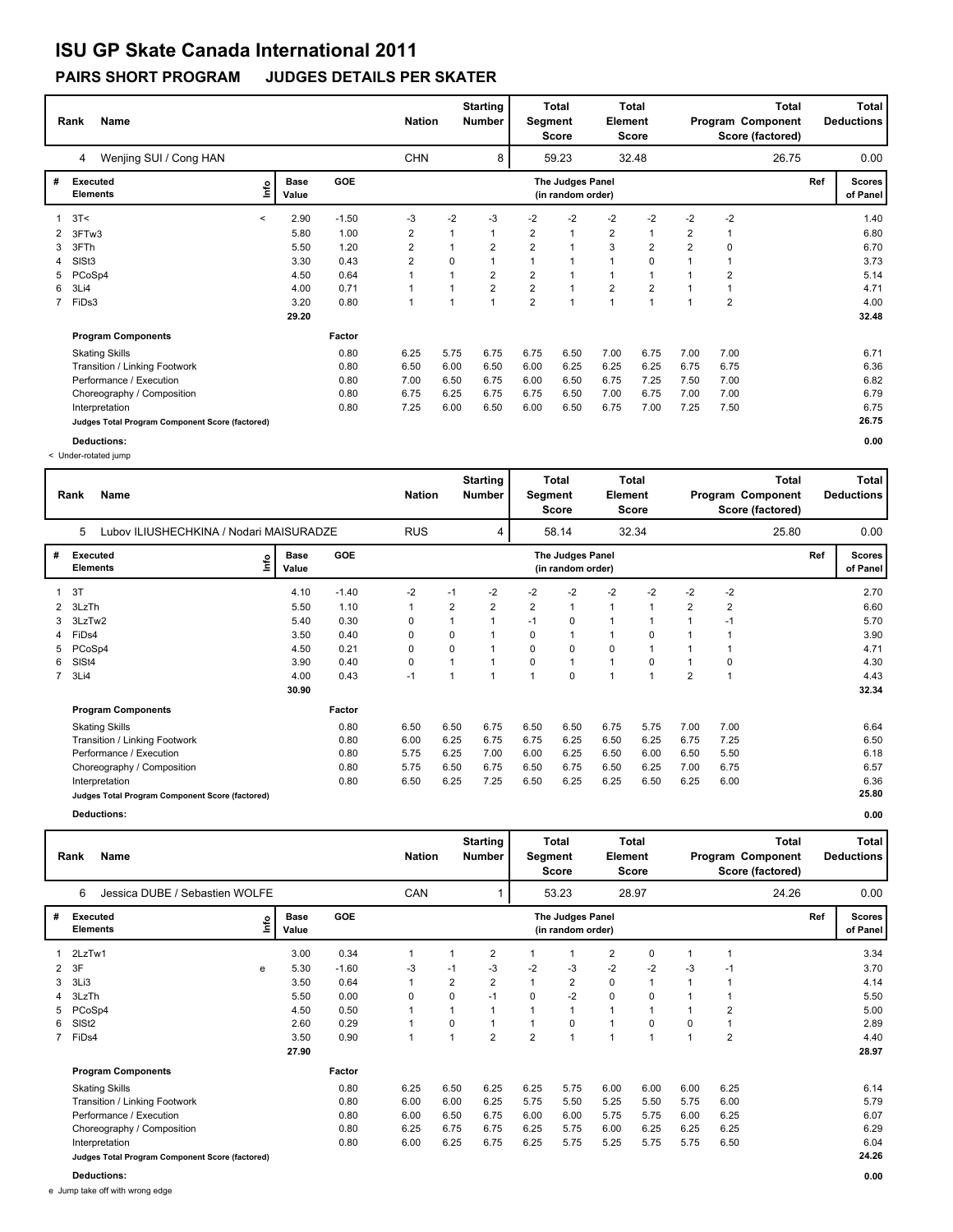## **ISU GP Skate Canada International 2011**

#### **PAIRS SHORT PROGRAM JUDGES DETAILS PER SKATER**

|              | <b>Name</b><br>Rank                             |         |                      |            |                | <b>Nation</b>  | <b>Starting</b><br><b>Number</b> | <b>Total</b><br>Total<br>Element<br>Segment<br>Score<br>Score |                                       |                |                | Program Component | Total<br><b>Deductions</b> |       |     |                           |
|--------------|-------------------------------------------------|---------|----------------------|------------|----------------|----------------|----------------------------------|---------------------------------------------------------------|---------------------------------------|----------------|----------------|-------------------|----------------------------|-------|-----|---------------------------|
|              | Wenjing SUI / Cong HAN<br>4                     |         |                      |            | <b>CHN</b>     |                | 8                                |                                                               | 59.23                                 |                | 32.48          |                   |                            | 26.75 |     | 0.00                      |
| #            | <b>Executed</b><br><b>Elements</b>              | lnfo    | <b>Base</b><br>Value | <b>GOE</b> |                |                |                                  |                                                               | The Judges Panel<br>(in random order) |                |                |                   |                            |       | Ref | <b>Scores</b><br>of Panel |
| $\mathbf{1}$ | 3T<                                             | $\,<\,$ | 2.90                 | $-1.50$    | -3             | $-2$           | -3                               | $-2$                                                          | -2                                    | -2             | $-2$           | -2                | $-2$                       |       |     | 1.40                      |
| 2            | 3FTw3                                           |         | 5.80                 | 1.00       | 2              |                | 1                                | 2                                                             | $\mathbf{1}$                          | $\overline{2}$ |                | 2                 |                            |       |     | 6.80                      |
| 3            | 3FTh                                            |         | 5.50                 | 1.20       | 2              | 1              | 2                                | $\overline{2}$                                                | $\mathbf{1}$                          | 3              | $\overline{2}$ | $\overline{2}$    | 0                          |       |     | 6.70                      |
| 4            | SISt <sub>3</sub>                               |         | 3.30                 | 0.43       | $\overline{2}$ | $\Omega$       |                                  |                                                               | $\overline{1}$                        |                | $\mathbf 0$    |                   |                            |       |     | 3.73                      |
| 5            | PCoSp4                                          |         | 4.50                 | 0.64       |                |                | 2                                | 2                                                             |                                       |                |                |                   | $\overline{2}$             |       |     | 5.14                      |
| 6            | 3Li4                                            |         | 4.00                 | 0.71       | 1              | $\overline{ }$ | $\overline{2}$                   | $\overline{2}$                                                | $\overline{1}$                        | $\overline{2}$ | $\overline{2}$ |                   |                            |       |     | 4.71                      |
|              | 7 FiDs3                                         |         | 3.20                 | 0.80       | 1              | $\overline{ }$ | $\overline{1}$                   | $\overline{2}$                                                | $\overline{1}$                        | $\overline{ }$ | $\overline{ }$ |                   | $\overline{2}$             |       |     | 4.00                      |
|              |                                                 |         | 29.20                |            |                |                |                                  |                                                               |                                       |                |                |                   |                            |       |     | 32.48                     |
|              | <b>Program Components</b>                       |         |                      | Factor     |                |                |                                  |                                                               |                                       |                |                |                   |                            |       |     |                           |
|              | <b>Skating Skills</b>                           |         |                      | 0.80       | 6.25           | 5.75           | 6.75                             | 6.75                                                          | 6.50                                  | 7.00           | 6.75           | 7.00              | 7.00                       |       |     | 6.71                      |
|              | Transition / Linking Footwork                   |         |                      | 0.80       | 6.50           | 6.00           | 6.50                             | 6.00                                                          | 6.25                                  | 6.25           | 6.25           | 6.75              | 6.75                       |       |     | 6.36                      |
|              | Performance / Execution                         |         |                      | 0.80       | 7.00           | 6.50           | 6.75                             | 6.00                                                          | 6.50                                  | 6.75           | 7.25           | 7.50              | 7.00                       |       |     | 6.82                      |
|              | Choreography / Composition                      |         |                      | 0.80       | 6.75           | 6.25           | 6.75                             | 6.75                                                          | 6.50                                  | 7.00           | 6.75           | 7.00              | 7.00                       |       |     | 6.79                      |
|              | Interpretation                                  |         |                      | 0.80       | 7.25           | 6.00           | 6.50                             | 6.00                                                          | 6.50                                  | 6.75           | 7.00           | 7.25              | 7.50                       |       |     | 6.75                      |
|              | Judges Total Program Component Score (factored) |         |                      |            |                |                |                                  |                                                               |                                       |                |                |                   |                            |       |     | 26.75                     |
|              | Deductions:                                     |         |                      |            |                |                |                                  |                                                               |                                       |                |                |                   |                            |       |     | 0.00                      |

< Under-rotated jump

**Rank Name Total Nation Deductions Program Component Total Segment Score Total Element Score Total Score (factored) Starting Number** Lubov ILIUSHECHKINA / Nodari MAISURADZE RUS 4 58.14 32.34 **# Executed Elements Base Value GOE Scores The Judges Panel of Panel** 1 4.10 -1.40 -2 -1 -2 -2 -2 -2 -2 -2 -2 **Ref**  2.70 5 **(in random order)** 25.80 3T **Info** 4 58.14 32.34 25.80 0.00 2 3LzTh 5.50 1.10 1 2 2 2 1 1 1 2 2 6.60 3 3LzTw2 5.40 0.30 0 1 1 -1 0 1 1 1 -1 5.70 4 FiDs4 3.50 0.40 0 0 1 0 1 1 0 1 1 3.90 5 PCoSp4 4.50 0.21 0 0 1 0 0 0 1 1 1 4.71 6 SlSt4 3.90 0.40 0 1 1 0 1 1 0 1 0 4.30 7 3Li4 4.00 0.43 -1 1 1 1 0 1 1 2 1 4.43  **30.90 Program Components**  Skating Skills 6.50 6.50 6.75 6.50 6.50 6.75 5.75 7.00 7.00 **Factor** 0.80 6.50 6.50 6.75 6.50 6.50 6.75 5.75 7.00 7.00 6.64  **32.34** Transition / Linking Footwork 0.80 6.00 6.25 6.75 6.75 6.25 6.50 6.25 6.75 7.25 6.50 Performance / Execution 10.80 5.75 6.25 7.00 6.00 6.25 6.50 6.00 6.50 5.50 6.18 Choreography / Composition 0.80 5.75 6.50 6.75 6.50 6.75 6.50 6.25 7.00 6.75 6.57 6.57 6.57 6.57 6.57 6.57 6.36<br>
0.80 6.25 7.25 6.50 6.25 6.25 6.25 6.25 6.00 6.36 Interpretation 0.80 6.50 6.25 7.25 6.50 6.25 6.25 6.50 6.25 6.00 6.36 **Judges Total Program Component Score (factored) 25.80**

**Deductions: 0.00**

|   | <b>Name</b><br>Rank                 | <b>Nation</b> |                      | <b>Starting</b><br><b>Number</b> | Segment | Total<br>Score | Element        | Total<br>Score |                                       |                | <b>Total</b><br>Program Component<br>Score (factored) |      | Total<br><b>Deductions</b> |       |     |                           |
|---|-------------------------------------|---------------|----------------------|----------------------------------|---------|----------------|----------------|----------------|---------------------------------------|----------------|-------------------------------------------------------|------|----------------------------|-------|-----|---------------------------|
|   | Jessica DUBE / Sebastien WOLFE<br>6 |               |                      |                                  | CAN     |                |                |                | 53.23                                 |                | 28.97                                                 |      |                            | 24.26 |     | 0.00                      |
| # | Executed<br><b>Elements</b>         | <u>info</u>   | <b>Base</b><br>Value | <b>GOE</b>                       |         |                |                |                | The Judges Panel<br>(in random order) |                |                                                       |      |                            |       | Ref | <b>Scores</b><br>of Panel |
|   | 1 2LzTw1                            |               | 3.00                 | 0.34                             |         |                | 2              |                |                                       | 2              | 0                                                     |      |                            |       |     | 3.34                      |
|   | 2 3F                                | e             | 5.30                 | $-1.60$                          | -3      | $-1$           | $-3$           | $-2$           | -3                                    | $-2$           | $-2$                                                  | $-3$ | $-1$                       |       |     | 3.70                      |
|   | 3 3Li3                              |               | 3.50                 | 0.64                             |         | $\overline{2}$ | $\overline{2}$ |                | 2                                     | 0              |                                                       |      |                            |       |     | 4.14                      |
|   | 4 3LzTh                             |               | 5.50                 | 0.00                             | 0       | 0              | $-1$           | 0              | $-2$                                  | 0              | 0                                                     |      |                            |       |     | 5.50                      |
|   | 5 PCoSp4                            |               | 4.50                 | 0.50                             |         |                |                |                |                                       | $\overline{A}$ |                                                       |      | 2                          |       |     | 5.00                      |
|   | 6 SISt2                             |               | 2.60                 | 0.29                             |         | 0              |                |                | 0                                     | и              | 0                                                     | 0    |                            |       |     | 2.89                      |
|   | 7 FiDs4                             |               | 3.50                 | 0.90                             |         |                | $\overline{2}$ | $\overline{2}$ |                                       |                |                                                       |      | 2                          |       |     | 4.40                      |
|   |                                     |               | 27.90                |                                  |         |                |                |                |                                       |                |                                                       |      |                            |       |     | 28.97                     |
|   | <b>Dragram Campananta</b>           |               |                      | Engter                           |         |                |                |                |                                       |                |                                                       |      |                            |       |     |                           |

1 3.00 0.34 1 1 2 1 1 2 0 1 1 3.34 2 3F e 5.30 -1.60 -3 -1 -3 -2 -3 -2 -2 -3 -1 3.70 3 3Li3 3.50 0.64 1 2 2 1 2 0 1 1 1 4.14 4 3LzTh 5.50 0.00 0 0 -1 0 -2 0 0 1 1 5.50 5 PCoSp4 4.50 0.50 1 1 1 1 1 1 1 1 2 5.00 6 SlSt2 2.60 0.29 1 0 1 1 0 1 0 0 1 2.89 7 FiDs4 3.50 0.90 1 1 2 2 1 1 1 1 2 4.40 **Program Components**  Skating Skills 6.25 6.50 6.25 6.25 5.75 6.00 6.00 6.00 6.25 **Factor** 0.80 6.25 6.50 6.25 6.25 5.75 6.00 6.00 6.00 6.25 6.14  **28.97** Transition / Linking Footwork 0.80 6.00 6.00 6.25 5.75 5.50 5.25 5.50 5.75 6.00 5.79 Performance / Execution 10.80 6.00 6.00 6.50 6.00 6.00 6.00 6.00 6.75 6.00 6.25 6.07 6.07 Choreography / Composition 6.29 6.80 6.25 6.75 6.75 6.25 6.75 6.00 6.25 6.25 6.25 6.25 6.29 Interpretation 0.80 6.00 6.25 6.75 6.25 5.75 5.25 5.75 5.75 6.50 6.04 **Judges Total Program Component Score (factored) 24.26**

e Jump take off with wrong edge